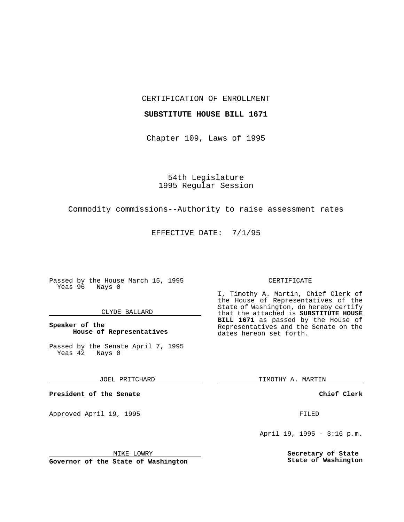CERTIFICATION OF ENROLLMENT

### **SUBSTITUTE HOUSE BILL 1671**

Chapter 109, Laws of 1995

54th Legislature 1995 Regular Session

# Commodity commissions--Authority to raise assessment rates

EFFECTIVE DATE: 7/1/95

Passed by the House March 15, 1995 Yeas 96 Nays 0

## CLYDE BALLARD

**Speaker of the House of Representatives**

Passed by the Senate April 7, 1995<br>Yeas 42 Nays 0 Yeas 42

JOEL PRITCHARD

**President of the Senate**

Approved April 19, 1995 FILED

## MIKE LOWRY

**Governor of the State of Washington**

#### CERTIFICATE

I, Timothy A. Martin, Chief Clerk of the House of Representatives of the State of Washington, do hereby certify that the attached is **SUBSTITUTE HOUSE BILL 1671** as passed by the House of Representatives and the Senate on the dates hereon set forth.

TIMOTHY A. MARTIN

**Chief Clerk**

April 19, 1995 - 3:16 p.m.

**Secretary of State State of Washington**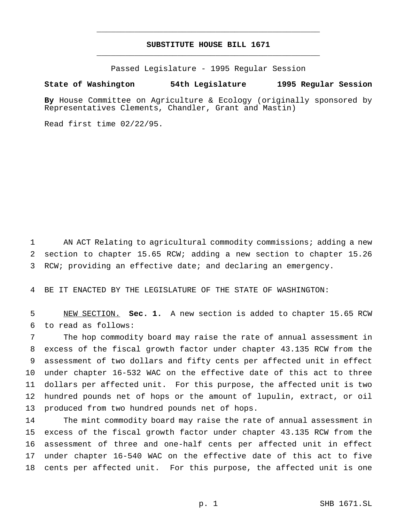# **SUBSTITUTE HOUSE BILL 1671** \_\_\_\_\_\_\_\_\_\_\_\_\_\_\_\_\_\_\_\_\_\_\_\_\_\_\_\_\_\_\_\_\_\_\_\_\_\_\_\_\_\_\_\_\_\_\_

\_\_\_\_\_\_\_\_\_\_\_\_\_\_\_\_\_\_\_\_\_\_\_\_\_\_\_\_\_\_\_\_\_\_\_\_\_\_\_\_\_\_\_\_\_\_\_

Passed Legislature - 1995 Regular Session

### **State of Washington 54th Legislature 1995 Regular Session**

**By** House Committee on Agriculture & Ecology (originally sponsored by Representatives Clements, Chandler, Grant and Mastin)

Read first time 02/22/95.

 AN ACT Relating to agricultural commodity commissions; adding a new section to chapter 15.65 RCW; adding a new section to chapter 15.26 RCW; providing an effective date; and declaring an emergency.

BE IT ENACTED BY THE LEGISLATURE OF THE STATE OF WASHINGTON:

 NEW SECTION. **Sec. 1.** A new section is added to chapter 15.65 RCW to read as follows:

 The hop commodity board may raise the rate of annual assessment in excess of the fiscal growth factor under chapter 43.135 RCW from the assessment of two dollars and fifty cents per affected unit in effect under chapter 16-532 WAC on the effective date of this act to three dollars per affected unit. For this purpose, the affected unit is two hundred pounds net of hops or the amount of lupulin, extract, or oil produced from two hundred pounds net of hops.

 The mint commodity board may raise the rate of annual assessment in excess of the fiscal growth factor under chapter 43.135 RCW from the assessment of three and one-half cents per affected unit in effect under chapter 16-540 WAC on the effective date of this act to five cents per affected unit. For this purpose, the affected unit is one